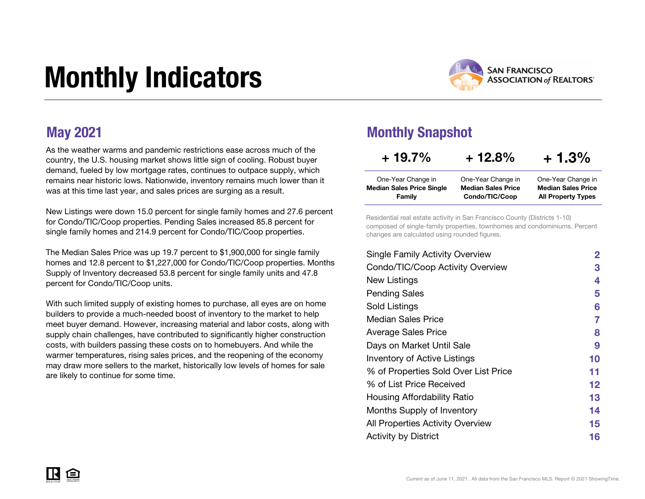# Monthly Indicators



As the weather warms and pandemic restrictions ease across much of the country, the U.S. housing market shows little sign of cooling. Robust buyer demand, fueled by low mortgage rates, continues to outpace supply, which remains near historic lows. Nationwide, inventory remains much lower than it was at this time last year, and sales prices are surging as a result.

New Listings were down 15.0 percent for single family homes and 27.6 percent for Condo/TIC/Coop properties. Pending Sales increased 85.8 percent for single family homes and 214.9 percent for Condo/TIC/Coop properties.

The Median Sales Price was up 19.7 percent to \$1,900,000 for single family homes and 12.8 percent to \$1,227,000 for Condo/TIC/Coop properties. Months Supply of Inventory decreased 53.8 percent for single family units and 47.8 percent for Condo/TIC/Coop units.

With such limited supply of existing homes to purchase, all eyes are on home builders to provide a much-needed boost of inventory to the market to help meet buyer demand. However, increasing material and labor costs, along with supply chain challenges, have contributed to significantly higher construction costs, with builders passing these costs on to homebuyers. And while the warmer temperatures, rising sales prices, and the reopening of the economy may draw more sellers to the market, historically low levels of homes for sale are likely to continue for some time.

### May 2021 Monthly Snapshot

| + 19.7%                          | $+12.8%$                  | $+1.3%$                   |
|----------------------------------|---------------------------|---------------------------|
| One-Year Change in               | One-Year Change in        | One-Year Change in        |
| <b>Median Sales Price Single</b> | <b>Median Sales Price</b> | <b>Median Sales Price</b> |
| Family                           | Condo/TIC/Coop            | <b>All Property Types</b> |

Residential real estate activity in San Francisco County (Districts 1-10) composed of single-family properties, townhomes and condominiums. Percent changes are calculated using rounded figures.

| <b>Single Family Activity Overview</b> | 2  |
|----------------------------------------|----|
| Condo/TIC/Coop Activity Overview       | З  |
| New Listings                           | 4  |
| <b>Pending Sales</b>                   | 5  |
| Sold Listings                          | 6  |
| Median Sales Price                     | 7  |
| <b>Average Sales Price</b>             | 8  |
| Days on Market Until Sale              | 9  |
| <b>Inventory of Active Listings</b>    | 10 |
| % of Properties Sold Over List Price   | 11 |
| % of List Price Received               | 12 |
| Housing Affordability Ratio            | 13 |
| Months Supply of Inventory             | 14 |
| All Properties Activity Overview       | 15 |
| <b>Activity by District</b>            | 16 |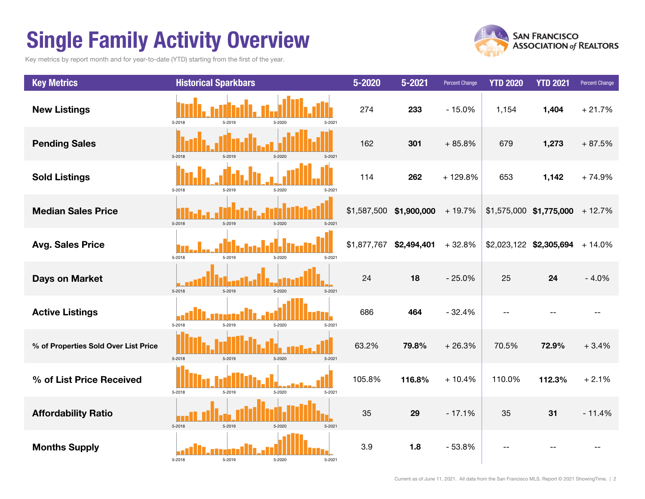## Single Family Activity Overview

Key metrics by report month and for year-to-date (YTD) starting from the first of the year.



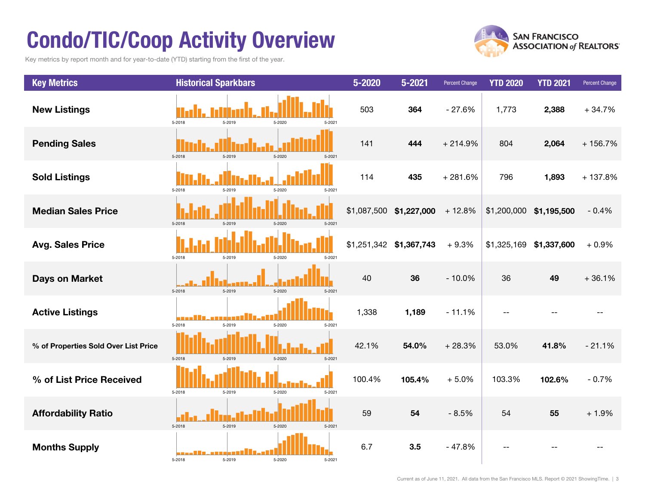## Condo/TIC/Coop Activity Overview

Key metrics by report month and for year-to-date (YTD) starting from the first of the year.



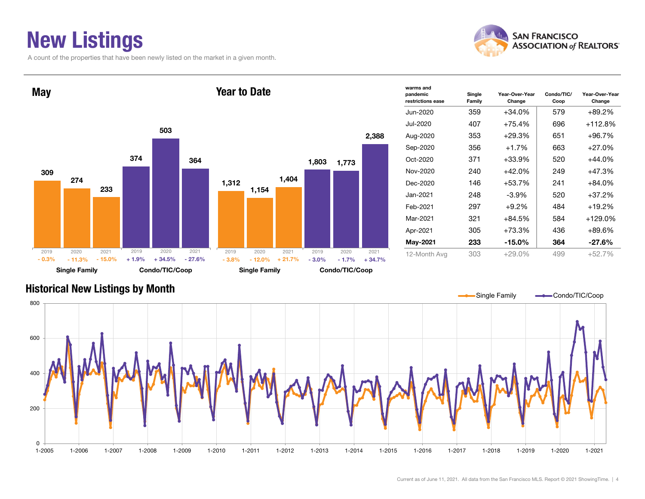### New Listings

A count of the properties that have been newly listed on the market in a given month.





| warms and                     |                  |                          |                    |                          |
|-------------------------------|------------------|--------------------------|--------------------|--------------------------|
| pandemic<br>restrictions ease | Single<br>Family | Year-Over-Year<br>Change | Condo/TIC/<br>Coop | Year-Over-Year<br>Change |
| Jun-2020                      | 359              | $+34.0%$                 | 579                | +89.2%                   |
| Jul-2020                      | 407              | $+75.4%$                 | 696                | $+112.8%$                |
| Aug-2020                      | 353              | $+29.3%$                 | 651                | $+96.7%$                 |
| Sep-2020                      | 356              | $+1.7%$                  | 663                | +27.0%                   |
| Oct-2020                      | 371              | $+33.9%$                 | 520                | +44.0%                   |
| Nov-2020                      | 240              | +42.0%                   | 249                | +47.3%                   |
| Dec-2020                      | 146              | $+53.7%$                 | 241                | +84.0%                   |
| Jan-2021.                     | 248              | $-3.9\%$                 | 520                | +37.2%                   |
| Feb-2021                      | 297              | $+9.2%$                  | 484                | +19.2%                   |
| Mar-2021                      | 321              | $+84.5%$                 | 584                | $+129.0%$                |
| Apr-2021                      | 305              | +73.3%                   | 436                | +89.6%                   |
| May-2021                      | 233              | $-15.0\%$                | 364                | $-27.6%$                 |
| 12-Month Avg                  | 303              | $+29.0\%$                | 499                | $+52.7%$                 |

#### Historical New Listings by Month

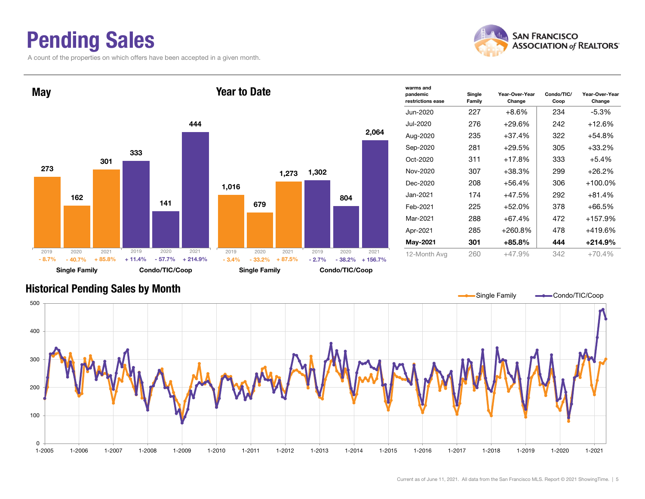### Pending Sales

A count of the properties on which offers have been accepted in a given month.





| warms and<br>pandemic<br>restrictions ease | Single<br>Family | Year-Over-Year<br>Change | Condo/TIC/<br>Coop | Year-Over-Year<br>Change |
|--------------------------------------------|------------------|--------------------------|--------------------|--------------------------|
| Jun-2020                                   | 227              | $+8.6\%$                 | 234                | -5.3%                    |
| Jul-2020                                   | 276              | $+29.6%$                 | 242                | $+12.6%$                 |
| Aug-2020                                   | 235              | $+37.4%$                 | 322                | $+54.8%$                 |
| Sep-2020                                   | 281              | $+29.5%$                 | 305                | $+33.2%$                 |
| Oct-2020                                   | 311              | $+17.8%$                 | 333                | $+5.4%$                  |
| Nov-2020                                   | 307              | $+38.3%$                 | 299                | $+26.2%$                 |
| Dec-2020                                   | 208              | $+56.4%$                 | 306                | $+100.0\%$               |
| Jan-2021.                                  | 174              | $+47.5%$                 | 292                | $+81.4%$                 |
| Feb-2021                                   | 225              | $+52.0%$                 | 378                | $+66.5%$                 |
| Mar-2021                                   | 288              | $+67.4%$                 | 472                | $+157.9%$                |
| Apr-2021                                   | 285              | +260.8%                  | 478                | $+419.6%$                |
| May-2021                                   | 301              | +85.8%                   | 444                | $+214.9%$                |
| 12-Month Avg                               | 260              | $+47.9%$                 | 342                | $+70.4%$                 |

#### Historical Pending Sales by Month

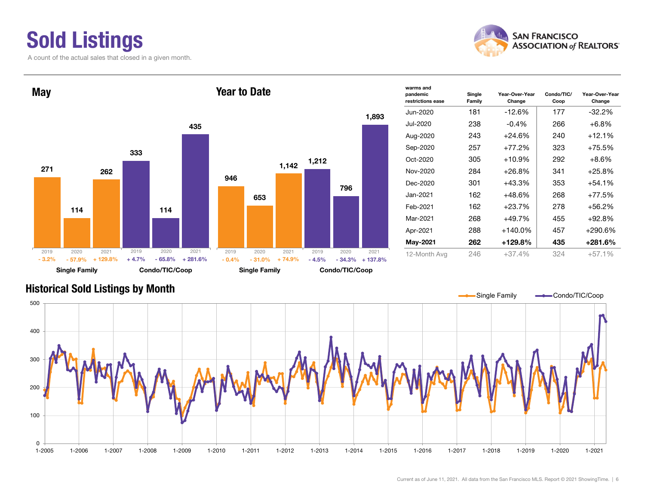### Sold Listings

A count of the actual sales that closed in a given month.





| warms and<br>pandemic<br>restrictions ease | Single<br>Family | Year-Over-Year<br>Change | Condo/TIC/<br>Coop | Year-Over-Year<br>Change |
|--------------------------------------------|------------------|--------------------------|--------------------|--------------------------|
| Jun-2020                                   | 181              | $-12.6%$                 | 177                | $-32.2%$                 |
| Jul-2020                                   | 238              | $-0.4\%$                 | 266                | $+6.8%$                  |
| Aug-2020                                   | 243              | $+24.6%$                 | 240                | $+12.1%$                 |
| Sep-2020                                   | 257              | +77.2%                   | 323                | +75.5%                   |
| Oct-2020                                   | 305              | $+10.9%$                 | 292                | $+8.6%$                  |
| Nov-2020                                   | 284              | +26.8%                   | 341                | $+25.8%$                 |
| Dec-2020                                   | 301              | $+43.3%$                 | 353                | $+54.1%$                 |
| Jan-2021.                                  | 162              | $+48.6%$                 | 268                | +77.5%                   |
| Feb-2021                                   | 162              | $+23.7%$                 | 278                | +56.2%                   |
| Mar-2021                                   | 268              | +49.7%                   | 455                | +92.8%                   |
| Apr-2021                                   | 288              | $+140.0\%$               | 457                | +290.6%                  |
| May-2021                                   | 262              | $+129.8%$                | 435                | $+281.6%$                |
| 12-Month Avg                               | 246              | $+37.4%$                 | 324                | $+57.1%$                 |

#### Historical Sold Listings by Month

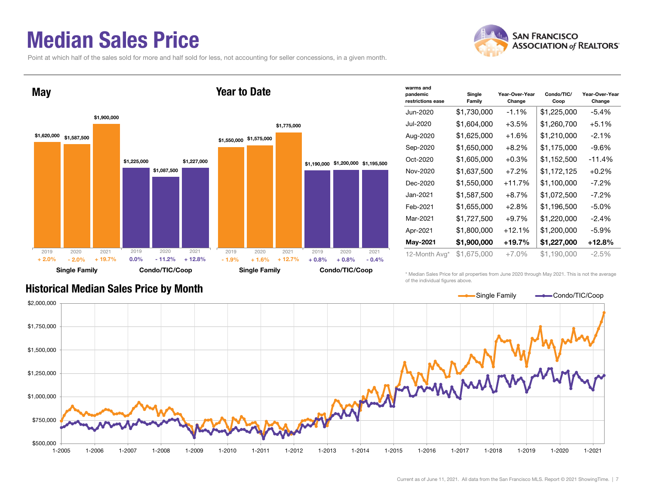### Median Sales Price

Point at which half of the sales sold for more and half sold for less, not accounting for seller concessions, in a given month.



| warms and<br>pandemic<br>restrictions ease | Single<br>Family | Year-Over-Year<br>Change | Condo/TIC/<br>Coop | Year-Over-Year<br>Change |
|--------------------------------------------|------------------|--------------------------|--------------------|--------------------------|
| Jun-2020                                   | \$1,730,000      | $-1.1%$                  | \$1,225,000        | $-5.4%$                  |
| Jul-2020                                   | \$1,604,000      | $+3.5%$                  | \$1,260,700        | $+5.1%$                  |
| Aug-2020                                   | \$1,625,000      | $+1.6%$                  | \$1,210,000        | $-2.1%$                  |
| Sep-2020                                   | \$1,650,000      | $+8.2\%$                 | \$1,175,000        | -9.6%                    |
| Oct-2020                                   | \$1,605,000      | $+0.3%$                  | \$1,152,500        | $-11.4%$                 |
| Nov-2020                                   | \$1,637,500      | $+7.2%$                  | \$1,172,125        | $+0.2%$                  |
| Dec-2020                                   | \$1,550,000      | +11.7%                   | \$1,100,000        | $-7.2%$                  |
| Jan-2021                                   | \$1,587,500      | $+8.7%$                  | \$1,072,500        | $-7.2\%$                 |
| Feb-2021                                   | \$1,655,000      | $+2.8%$                  | \$1,196,500        | $-5.0\%$                 |
| Mar-2021                                   | \$1,727,500      | $+9.7%$                  | \$1,220,000        | $-2.4%$                  |
| Apr-2021                                   | \$1,800,000      | $+12.1%$                 | \$1,200,000        | $-5.9\%$                 |
| May-2021                                   | \$1,900,000      | $+19.7%$                 | \$1,227,000        | +12.8%                   |
| 12-Month Avg*                              | \$1,675,000      | $+7.0%$                  | \$1,190,000        | $-2.5%$                  |

Historical Median Sales Price by Month

\* Median Sales Price for all properties from June 2020 through May 2021. This is not the average of the individual figures above.



#### **SAN FRANCISCO ASSOCIATION of REALTORS'**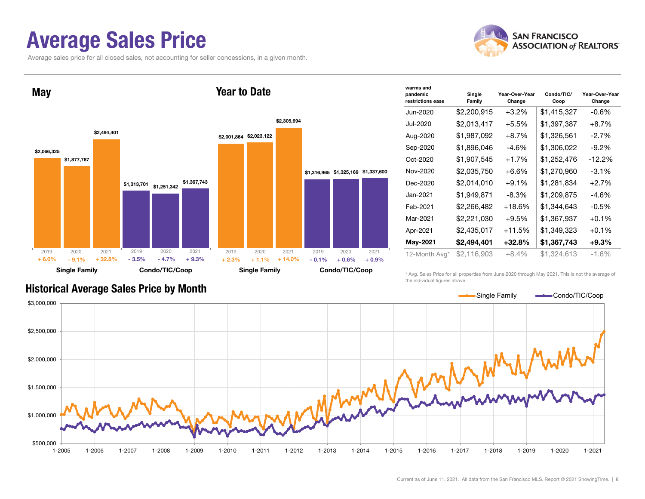### Average Sales Price

Average sales price for all closed sales, not accounting for seller concessions, in a given month.





| warms and<br>pandemic<br>restrictions ease | Single<br>Family | Year-Over-Year<br>Change | Condo/TIC/<br>Coop | Year-Over-Year<br>Change |
|--------------------------------------------|------------------|--------------------------|--------------------|--------------------------|
| Jun-2020                                   | \$2,200,915      | $+3.2\%$                 | \$1,415,327        | $-0.6%$                  |
| Jul-2020                                   | \$2,013,417      | $+5.5%$                  | \$1,397,387        | $+8.7%$                  |
| Aug-2020                                   | \$1,987,092      | $+8.7%$                  | \$1,326,561        | -2.7%                    |
| Sep-2020                                   | \$1,896,046      | $-4.6%$                  | \$1,306,022        | $-9.2\%$                 |
| Oct-2020                                   | \$1,907,545      | $+1.7%$                  | \$1,252,476        | $-12.2%$                 |
| Nov-2020                                   | \$2,035,750      | $+6.6%$                  | \$1,270,960        | $-3.1%$                  |
| Dec-2020                                   | \$2,014,010      | $+9.1%$                  | \$1,281,834        | $+2.7%$                  |
| Jan-2021.                                  | \$1,949,871      | $-8.3\%$                 | \$1,209,875        | -4.6%                    |
| Feb-2021                                   | \$2,266,482      | $+18.6%$                 | \$1,344,643        | $-0.5\%$                 |
| Mar-2021                                   | \$2,221,030      | $+9.5%$                  | \$1,367,937        | $+0.1%$                  |
| Apr-2021                                   | \$2,435,017      | +11.5%                   | \$1,349,323        | $+0.1%$                  |
| May-2021                                   | \$2,494,401      | $+32.8%$                 | \$1,367,743        | $+9.3%$                  |
| 12-Month Avg*                              | \$2,116,903      | $+8.4%$                  | \$1.324.613        | $-1.6%$                  |

#### Historical Average Sales Price by Month

\* Avg. Sales Price for all properties from June 2020 through May 2021. This is not the average of the individual figures above.

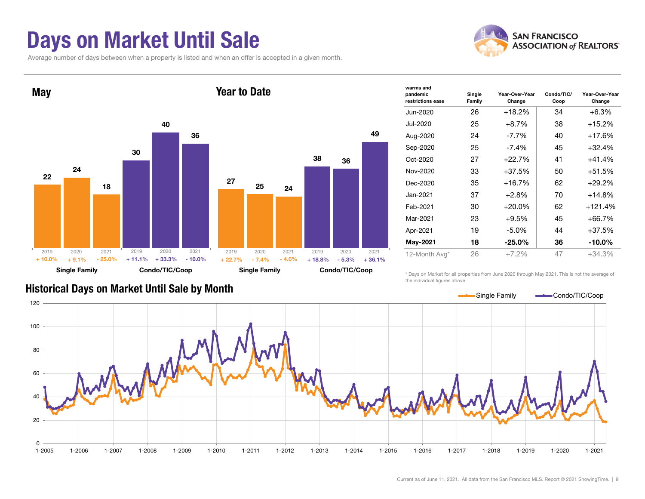### Days on Market Until Sale

Average number of days between when a property is listed and when an offer is accepted in a given month.





| warms and<br>pandemic<br>restrictions ease | Single<br>Family | Year-Over-Year<br>Change | Condo/TIC/<br>Coop | Year-Over-Year<br>Change |
|--------------------------------------------|------------------|--------------------------|--------------------|--------------------------|
| Jun-2020                                   | 26               | $+18.2%$                 | 34                 | $+6.3%$                  |
| Jul-2020                                   | 25               | $+8.7%$                  | 38                 | +15.2%                   |
| Aug-2020                                   | 24               | $-7.7\%$                 | 40                 | $+17.6%$                 |
| Sep-2020                                   | 25               | $-7.4\%$                 | 45                 | $+32.4%$                 |
| Oct-2020                                   | 27               | $+22.7%$                 | 41                 | $+41.4%$                 |
| Nov-2020                                   | 33               | $+37.5%$                 | 50                 | $+51.5%$                 |
| Dec-2020                                   | 35               | $+16.7%$                 | 62                 | $+29.2%$                 |
| Jan-2021                                   | 37               | $+2.8%$                  | 70                 | $+14.8%$                 |
| Feb-2021                                   | 30               | $+20.0%$                 | 62                 | $+121.4%$                |
| Mar-2021                                   | 23               | $+9.5%$                  | 45                 | +66.7%                   |
| Apr-2021                                   | 19               | $-5.0\%$                 | 44                 | $+37.5%$                 |
| May-2021                                   | 18               | $-25.0\%$                | 36                 | $-10.0\%$                |
| 12-Month Avg*                              | 26               | $+7.2%$                  | 47                 | $+34.3%$                 |
|                                            |                  |                          |                    |                          |

\* Days on Market for all properties from June 2020 through May 2021. This is not the average of the individual figures above.



#### Historical Days on Market Until Sale by Month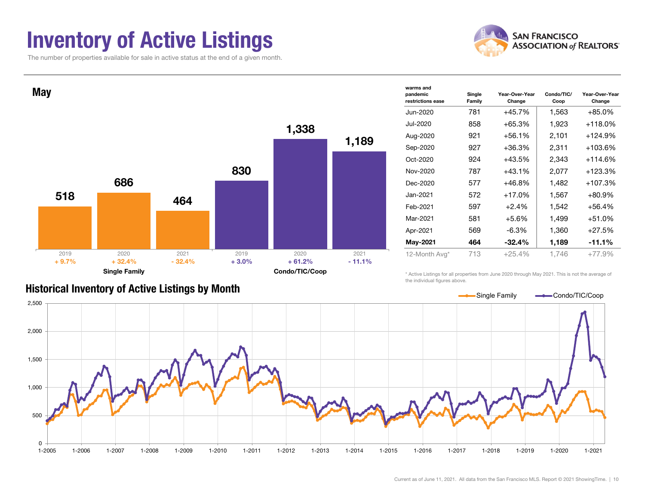### Inventory of Active Listings

The number of properties available for sale in active status at the end of a given month.





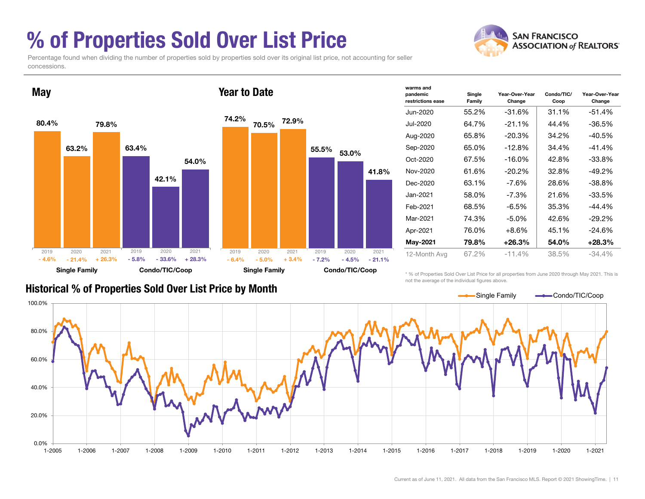### % of Properties Sold Over List Price

concessions.

**ASSOCIATION of REALTORS'** Percentage found when dividing the number of properties sold by properties sold over its original list price, not accounting for seller



| warms and                     |                  |                          |                    |                          |
|-------------------------------|------------------|--------------------------|--------------------|--------------------------|
| pandemic<br>restrictions ease | Single<br>Family | Year-Over-Year<br>Change | Condo/TIC/<br>Coop | Year-Over-Year<br>Change |
| Jun-2020                      | 55.2%            | $-31.6%$                 | 31.1%              | $-51.4%$                 |
| Jul-2020                      | 64.7%            | $-21.1%$                 | 44.4%              | $-36.5%$                 |
| Aug-2020                      | 65.8%            | $-20.3%$                 | 34.2%              | $-40.5%$                 |
| Sep-2020                      | 65.0%            | $-12.8%$                 | 34.4%              | $-41.4%$                 |
| Oct-2020                      | 67.5%            | $-16.0\%$                | 42.8%              | $-33.8%$                 |
| Nov-2020                      | 61.6%            | $-20.2\%$                | 32.8%              | -49.2%                   |
| Dec-2020                      | 63.1%            | -7.6%                    | 28.6%              | $-38.8%$                 |
| Jan-2021                      | 58.0%            | $-7.3\%$                 | 21.6%              | $-33.5%$                 |
| Feb-2021                      | 68.5%            | $-6.5%$                  | 35.3%              | $-44.4%$                 |
| Mar-2021                      | 74.3%            | $-5.0\%$                 | 42.6%              | $-29.2%$                 |
| Apr-2021                      | 76.0%            | $+8.6%$                  | 45.1%              | $-24.6%$                 |
| May-2021                      | 79.8%            | $+26.3\%$                | 54.0%              | $+28.3\%$                |
| 12-Month Avg                  | 67.2%            | $-11.4%$                 | 38.5%              | $-34.4%$                 |

**SAN FRANCISCO** 

#### Historical % of Properties Sold Over List Price by Month

\* % of Properties Sold Over List Price for all properties from June 2020 through May 2021. This is not the average of the individual figures above.

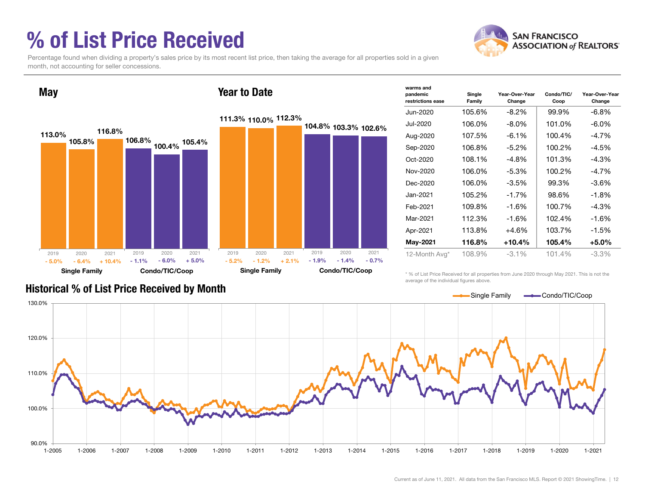### % of List Price Received



Percentage found when dividing a property's sales price by its most recent list price, then taking the average for all properties sold in a given month, not accounting for seller concessions.



| warms and<br>pandemic<br>restrictions ease | Single<br>Family | Year-Over-Year<br>Change | Condo/TIC/<br>Coop | Year-Over-Year<br>Change |
|--------------------------------------------|------------------|--------------------------|--------------------|--------------------------|
| Jun-2020                                   | 105.6%           | $-8.2\%$                 | 99.9%              | $-6.8\%$                 |
| Jul-2020                                   | 106.0%           | $-8.0\%$                 | 101.0%             | $-6.0\%$                 |
| Aug-2020                                   | 107.5%           | $-6.1%$                  | 100.4%             | $-4.7\%$                 |
| Sep-2020                                   | 106.8%           | $-5.2\%$                 | 100.2%             | $-4.5%$                  |
| Oct-2020                                   | 108.1%           | $-4.8%$                  | 101.3%             | $-4.3%$                  |
| Nov-2020                                   | 106.0%           | $-5.3%$                  | 100.2%             | $-4.7\%$                 |
| Dec-2020                                   | 106.0%           | $-3.5%$                  | 99.3%              | $-3.6\%$                 |
| Jan-2021                                   | 105.2%           | $-1.7%$                  | 98.6%              | $-1.8%$                  |
| Feb-2021                                   | 109.8%           | $-1.6%$                  | 100.7%             | $-4.3%$                  |
| Mar-2021                                   | 112.3%           | $-1.6%$                  | 102.4%             | $-1.6%$                  |
| Apr-2021                                   | 113.8%           | +4.6%                    | 103.7%             | $-1.5%$                  |
| May-2021                                   | 116.8%           | +10.4%                   | 105.4%             | $+5.0\%$                 |
| 12-Month Avg*                              | 108.9%           | $-3.1\%$                 | 101.4%             | $-3.3%$                  |

Historical % of List Price Received by Month

\* % of List Price Received for all properties from June 2020 through May 2021. This is not the average of the individual figures above.

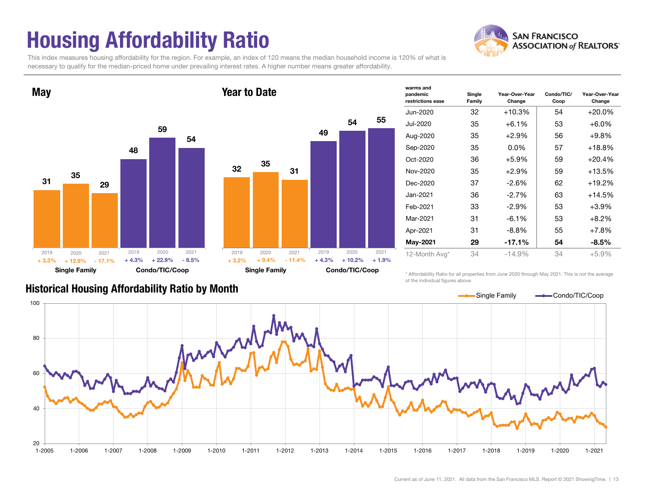## Housing Affordability Ratio

**SAN FRANCISCO ASSOCIATION of REALTORS'** 

This index measures housing affordability for the region. For example, an index of 120 means the median household income is 120% of what is necessary to qualify for the median-priced home under prevailing interest rates. A higher number means greater affordability.



| Condo/TIC/Coop<br><b>Single Family</b> |                 |                   |                 |                  |                 |
|----------------------------------------|-----------------|-------------------|-----------------|------------------|-----------------|
| 2019<br>$+3.2%$                        | 2020<br>$+9.4%$ | 2021<br>$-11.4\%$ | 2019<br>$+4.3%$ | 2020<br>$+10.2%$ | 2021<br>$+1.9%$ |
|                                        |                 |                   |                 |                  |                 |
|                                        |                 |                   |                 |                  |                 |
|                                        |                 |                   |                 |                  |                 |
| 32                                     | 35              | 31                |                 |                  |                 |
|                                        |                 |                   |                 |                  |                 |
|                                        |                 |                   | 49              | 54               |                 |
|                                        |                 |                   |                 |                  | 55              |
| rear to Date                           |                 |                   |                 |                  |                 |

| warms and                     |                  |                          |                    |                          |
|-------------------------------|------------------|--------------------------|--------------------|--------------------------|
| pandemic<br>restrictions ease | Single<br>Family | Year-Over-Year<br>Change | Condo/TIC/<br>Coop | Year-Over-Year<br>Change |
| Jun-2020                      | 32               | $+10.3%$                 | 54                 | $+20.0\%$                |
| Jul-2020                      | 35               | $+6.1%$                  | 53                 | $+6.0%$                  |
| Aug-2020                      | 35               | $+2.9%$                  | 56                 | $+9.8\%$                 |
| Sep-2020                      | 35               | $0.0\%$                  | 57                 | $+18.8%$                 |
| Oct-2020                      | 36               | $+5.9%$                  | 59                 | $+20.4%$                 |
| Nov-2020                      | 35               | $+2.9%$                  | 59                 | $+13.5%$                 |
| Dec-2020                      | 37               | $-2.6%$                  | 62                 | $+19.2%$                 |
| Jan-2021                      | 36               | $-2.7%$                  | 63                 | $+14.5%$                 |
| Feb-2021                      | 33               | $-2.9\%$                 | 53                 | $+3.9%$                  |
| Mar-2021                      | 31               | $-6.1%$                  | 53                 | $+8.2%$                  |
| Apr-2021                      | 31               | $-8.8\%$                 | 55                 | $+7.8%$                  |
| May-2021                      | 29               | $-17.1%$                 | 54                 | $-8.5\%$                 |
| 12-Month Avg*                 | 34               | $-14.9%$                 | 34                 | $+5.9%$                  |

\* Affordability Ratio for all properties from June 2020 through May 2021. This is not the average of the individual figures above.



#### Historical Housing Affordability Ratio by Month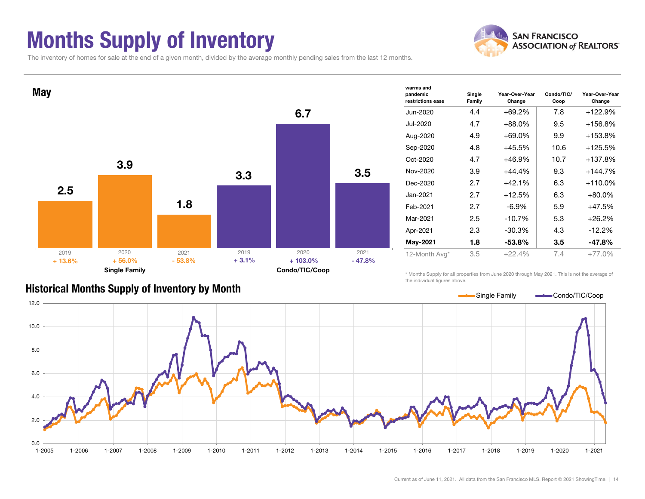### Months Supply of Inventory



The inventory of homes for sale at the end of a given month, divided by the average monthly pending sales from the last 12 months.



#### Historical Months Supply of Inventory by Month

the individual figures above.

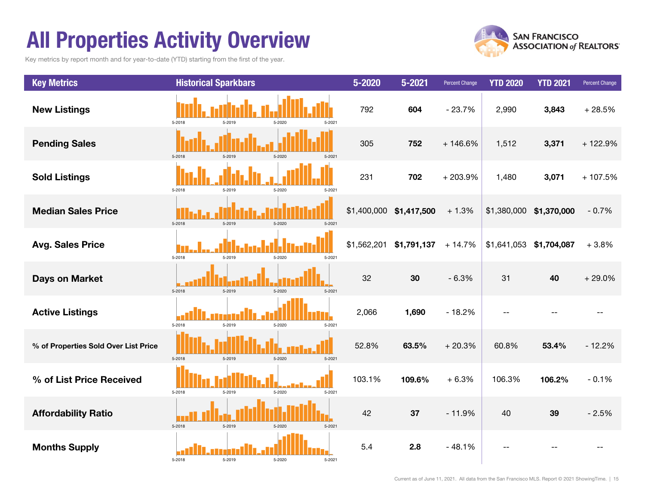### All Properties Activity Overview

Key metrics by report month and for year-to-date (YTD) starting from the first of the year.